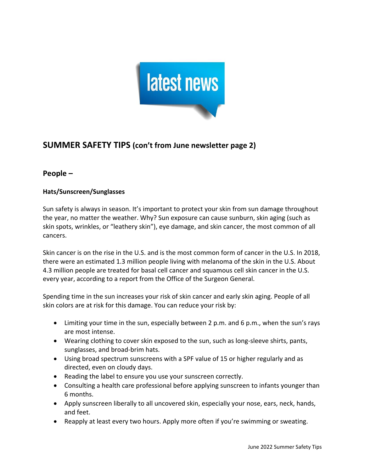

# **SUMMER SAFETY TIPS (con't from June newsletter page 2)**

# **People –**

# **Hats/Sunscreen/Sunglasses**

Sun safety is always in season. It's important to protect your skin from sun damage throughout the year, no matter the weather. Why? Sun exposure can cause sunburn, skin aging (such as skin spots, wrinkles, or "leathery skin"), eye damage, and skin cancer, the most common of all cancers.

Skin cancer is on the rise in the U.S. and is the most common form of cancer in the U.S. In 2018, there were an estimated 1.3 million people living with melanoma of the skin in the U.S. About 4.3 million people are treated for basal cell cancer and squamous cell skin cancer in the U.S. every year, according to a report from the Office of the Surgeon General.

Spending time in the sun increases your risk of skin cancer and early skin aging. People of all skin colors are at risk for this damage. You can reduce your risk by:

- Limiting your time in the sun, especially between 2 p.m. and 6 p.m., when the sun's rays are most intense.
- Wearing clothing to cover skin exposed to the sun, such as long-sleeve shirts, pants, sunglasses, and broad-brim hats.
- Using broad spectrum sunscreens with a SPF value of 15 or higher regularly and as directed, even on cloudy days.
- Reading the label to ensure you use your sunscreen correctly.
- Consulting a health care professional before applying sunscreen to infants younger than 6 months.
- Apply sunscreen liberally to all uncovered skin, especially your nose, ears, neck, hands, and feet.
- Reapply at least every two hours. Apply more often if you're swimming or sweating.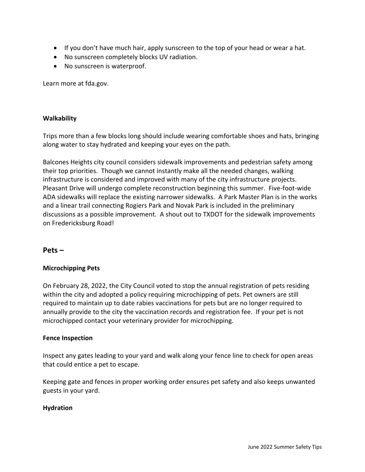- If you don't have much hair, apply sunscreen to the top of your head or wear a hat.
- No sunscreen completely blocks UV radiation.
- No sunscreen is waterproof.

Learn more at fda.gov.

#### **Walkability**

Trips more than a few blocks long should include wearing comfortable shoes and hats, bringing along water to stay hydrated and keeping your eyes on the path.

Balcones Heights city council considers sidewalk improvements and pedestrian safety among their top priorities. Though we cannot instantly make all the needed changes, walking infrastructure is considered and improved with many of the city infrastructure projects. Pleasant Drive will undergo complete reconstruction beginning this summer. Five-foot-wide ADA sidewalks will replace the existing narrower sidewalks. A Park Master Plan is in the works and a linear trail connecting Rogiers Park and Novak Park is included in the preliminary discussions as a possible improvement. A shout out to TXDOT for the sidewalk improvements on Fredericksburg Road!

## **Pets –**

#### **Microchipping Pets**

On February 28, 2022, the City Council voted to stop the annual registration of pets residing within the city and adopted a policy requiring microchipping of pets. Pet owners are still required to maintain up to date rabies vaccinations for pets but are no longer required to annually provide to the city the vaccination records and registration fee. If your pet is not microchipped contact your veterinary provider for microchipping.

#### **Fence Inspection**

Inspect any gates leading to your yard and walk along your fence line to check for open areas that could entice a pet to escape.

Keeping gate and fences in proper working order ensures pet safety and also keeps unwanted guests in your yard.

#### **Hydration**